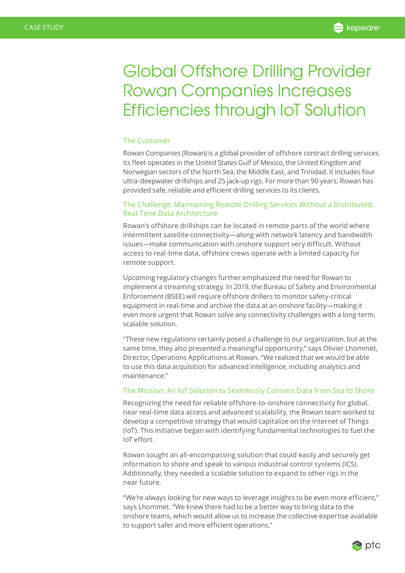# Global Offshore Drilling Provider Rowan Companies Increases Efficiencies through IoT Solution

#### The Customer

[Rowan Companies](http://www.rowan.com/home/default.aspx) (Rowan) is a global provider of offshore contract drilling services. Its fleet operates in the United States Gulf of Mexico, the United Kingdom and Norwegian sectors of the North Sea, the Middle East, and Trinidad. It includes four ultra-deepwater drillships and 25 jack-up rigs. For more than 90 years, Rowan has provided safe, reliable and efficient drilling services to its clients.

## The Challenge: Maintaining Remote Drilling Services Without a Distributed, Real-Time Data Architecture

Rowan's offshore drillships can be located in remote parts of the world where intermittent satellite connectivity—along with network latency and bandwidth issues—make communication with onshore support very difficult. Without access to real-time data, offshore crews operate with a limited capacity for remote support.

Upcoming regulatory changes further emphasized the need for Rowan to implement a streaming strategy. In 2019, the Bureau of Safety and Environmental Enforcement (BSEE) will require offshore drillers to monitor safety-critical equipment in real-time and archive the data at an onshore facility—making it even more urgent that Rowan solve any connectivity challenges with a long-term, scalable solution.

"These new regulations certainly posed a challenge to our organization, but at the same time, they also presented a meaningful opportunity," says Olivier Lhommet, Director, Operations Applications at Rowan. "We realized that we would be able to use this data acquisition for advanced intelligence, including analytics and maintenance."

## The Mission: An IoT Solution to Seamlessly Connect Data from Sea to Shore

Recognizing the need for reliable offshore-to-onshore connectivity for global, near real-time data access and advanced scalability, the Rowan team worked to develop a competitive strategy that would capitalize on the Internet of Things (IoT). This initiative began with identifying fundamental technologies to fuel the IoT effort.

Rowan sought an all-encompassing solution that could easily and securely get information to shore and speak to various industrial control systems (ICS). Additionally, they needed a scalable solution to expand to other rigs in the near future.

"We're always looking for new ways to leverage insights to be even more efficient," says Lhommet. "We knew there had to be a better way to bring data to the onshore teams, which would allow us to increase the collective expertise available to support safer and more efficient operations."